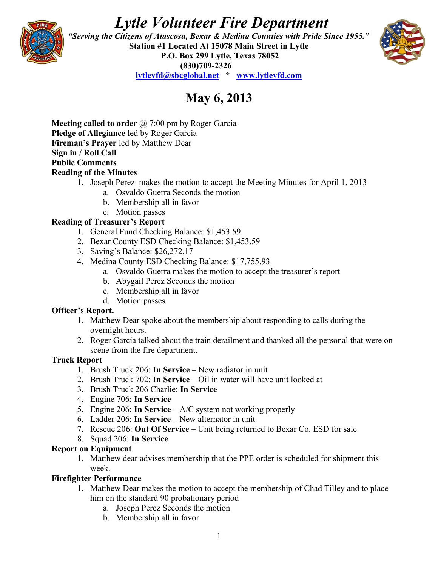# *Lytle Volunteer Fire Department*



 *"Serving the Citizens of Atascosa, Bexar & Medina Counties with Pride Since 1955."*  **Station #1 Located At 15078 Main Street in Lytle P.O. Box 299 Lytle, Texas 78052 (830)709-2326 [lytlevfd@sbcglobal.net](mailto:lytlevfd@sbcglobal.net) \* [www.lytlevfd.com](http://www.lytlevfd.com/)**



# **May 6, 2013**

**Meeting called to order** @ 7:00 pm by Roger Garcia **Pledge of Allegiance** led by Roger Garcia **Fireman's Prayer** led by Matthew Dear **Sign in / Roll Call Public Comments Reading of the Minutes**

- 1. Joseph Perez makes the motion to accept the Meeting Minutes for April 1, 2013
	- a. Osvaldo Guerra Seconds the motion
	- b. Membership all in favor
	- c. Motion passes

#### **Reading of Treasurer's Report**

- 1. General Fund Checking Balance: \$1,453.59
- 2. Bexar County ESD Checking Balance: \$1,453.59
- 3. Saving's Balance: \$26,272.17
- 4. Medina County ESD Checking Balance: \$17,755.93
	- a. Osvaldo Guerra makes the motion to accept the treasurer's report
	- b. Abygail Perez Seconds the motion
	- c. Membership all in favor
	- d. Motion passes

#### **Officer's Report.**

- 1. Matthew Dear spoke about the membership about responding to calls during the overnight hours.
- 2. Roger Garcia talked about the train derailment and thanked all the personal that were on scene from the fire department.

#### **Truck Report**

- 1. Brush Truck 206: **In Service** New radiator in unit
- 2. Brush Truck 702: **In Service**  Oil in water will have unit looked at
- 3. Brush Truck 206 Charlie: **In Service**
- 4. Engine 706: **In Service**
- 5. Engine 206: **In Service**  A/C system not working properly
- 6. Ladder 206: **In Service**  New alternator in unit
- 7. Rescue 206: **Out Of Service**  Unit being returned to Bexar Co. ESD for sale
- 8. Squad 206: **In Service**

#### **Report on Equipment**

1. Matthew dear advises membership that the PPE order is scheduled for shipment this week.

#### **Firefighter Performance**

- 1. Matthew Dear makes the motion to accept the membership of Chad Tilley and to place him on the standard 90 probationary period
	- a. Joseph Perez Seconds the motion
	- b. Membership all in favor